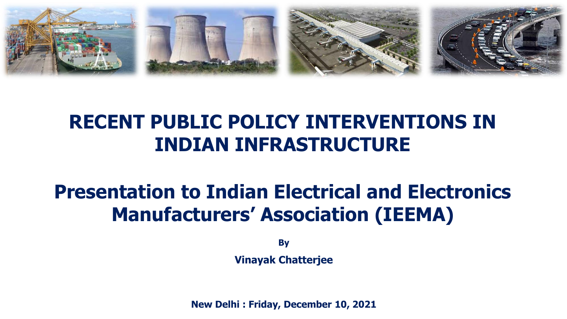

### **RECENT PUBLIC POLICY INTERVENTIONS IN INDIAN INFRASTRUCTURE**

## **Presentation to Indian Electrical and Electronics Manufacturers' Association (IEEMA)**

**By**

**Vinayak Chatterjee**

**New Delhi : Friday, December 10, 2021**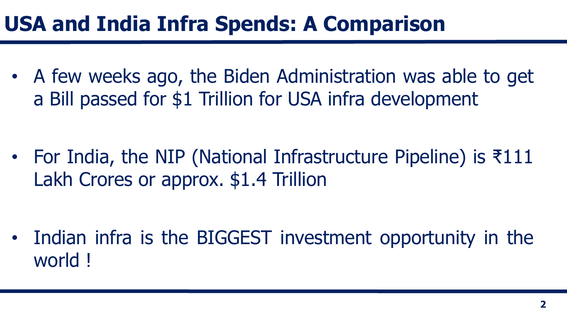## **USA and India Infra Spends: A Comparison**

• A few weeks ago, the Biden Administration was able to get a Bill passed for \$1 Trillion for USA infra development

• For India, the NIP (National Infrastructure Pipeline) is ₹111 Lakh Crores or approx. \$1.4 Trillion

• Indian infra is the BIGGEST investment opportunity in the world !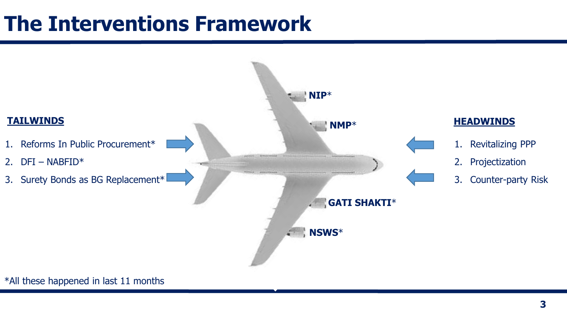## **The Interventions Framework**



#### \*All these happened in last 11 months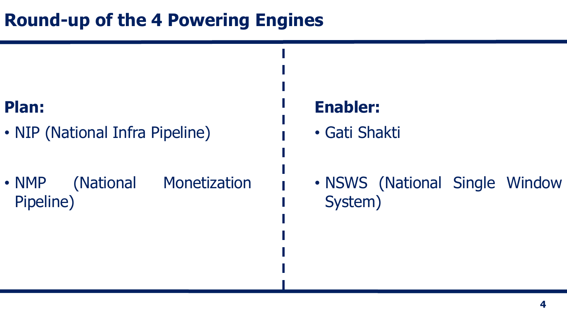### **Round-up of the 4 Powering Engines**

### **Plan:**

- NIP (National Infra Pipeline)
- NMP (National Monetization Pipeline)

### **Enabler:**

- Gati Shakti
- NSWS (National Single Window System)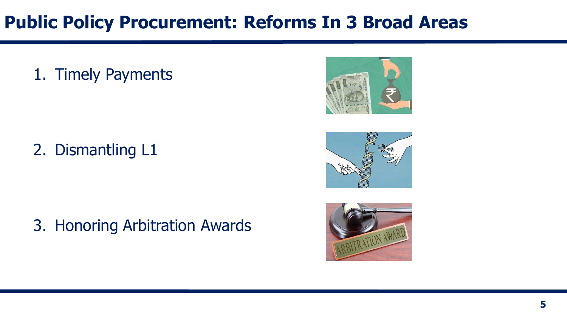### **Public Policy Procurement: Reforms In 3 Broad Areas**

### 1. Timely Payments



2. Dismantling L1



3. Honoring Arbitration Awards

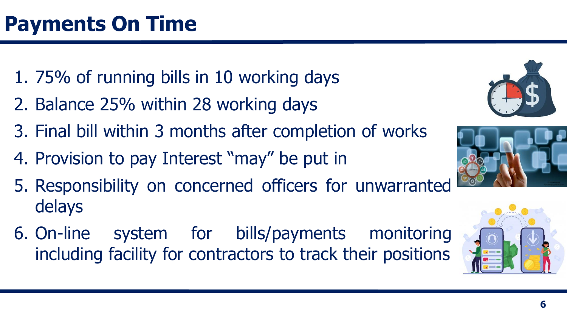- 1. 75% of running bills in 10 working days
- 2. Balance 25% within 28 working days
- 3. Final bill within 3 months after completion of works
- 4. Provision to pay Interest "may" be put in
- 5. Responsibility on concerned officers for unwarranted delays
- 6. On-line system for bills/payments monitoring including facility for contractors to track their positions



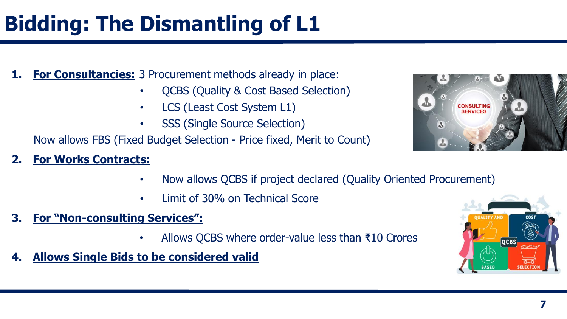**For Consultancies:** 3 Procurement methods already in place:

- OCBS (Quality & Cost Based Selection)
- LCS (Least Cost System L1)
- **SSS (Single Source Selection)**

Now allows FBS (Fixed Budget Selection - Price fixed, Merit to Count)

### **2. For Works Contracts:**

- Now allows QCBS if project declared (Quality Oriented Procurement)
- Limit of 30% on Technical Score
- **3. For "Non-consulting Services":**
	- Allows QCBS where order-value less than ₹10 Crores
- **4. Allows Single Bids to be considered valid**



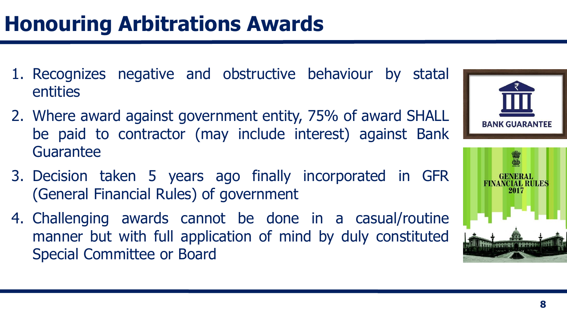- 1. Recognizes negative and obstructive behaviour by statal entities
- 2. Where award against government entity, 75% of award SHALL be paid to contractor (may include interest) against Bank Guarantee
- 3. Decision taken 5 years ago finally incorporated in GFR (General Financial Rules) of government
- 4. Challenging awards cannot be done in a casual/routine manner but with full application of mind by duly constituted Special Committee or Board



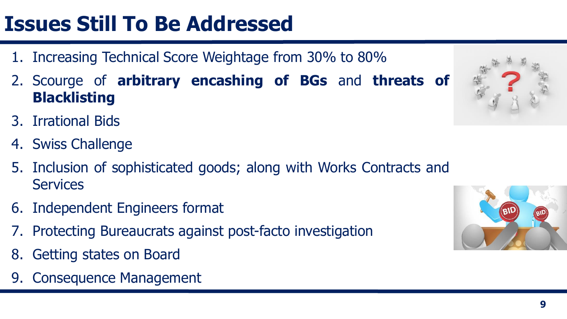# **Issues Still To Be Addressed**

- 1. Increasing Technical Score Weightage from 30% to 80%
- 2. Scourge of **arbitrary encashing of BGs** and **threats of Blacklisting**
- 3. Irrational Bids
- 4. Swiss Challenge
- 5. Inclusion of sophisticated goods; along with Works Contracts and **Services**
- 6. Independent Engineers format
- 7. Protecting Bureaucrats against post-facto investigation
- 8. Getting states on Board
- 9. Consequence Management



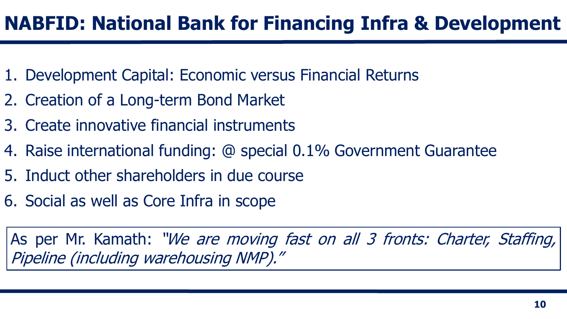## **NABFID: National Bank for Financing Infra & Development**

- 1. Development Capital: Economic versus Financial Returns
- 2. Creation of a Long-term Bond Market
- 3. Create innovative financial instruments
- 4. Raise international funding: @ special 0.1% Government Guarantee
- 5. Induct other shareholders in due course
- 6. Social as well as Core Infra in scope

As per Mr. Kamath: "We are moving fast on all 3 fronts: Charter, Staffing, Pipeline (including warehousing NMP)."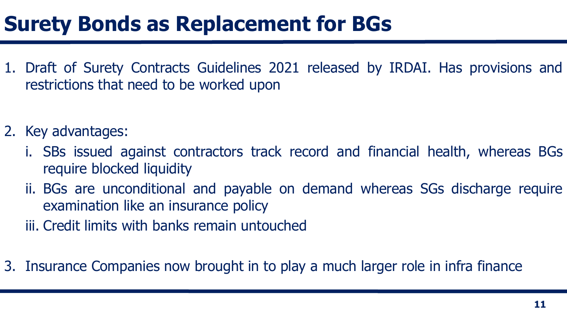## **Surety Bonds as Replacement for BGs**

- 1. Draft of Surety Contracts Guidelines 2021 released by IRDAI. Has provisions and restrictions that need to be worked upon
- 2. Key advantages:
	- i. SBs issued against contractors track record and financial health, whereas BGs require blocked liquidity
	- ii. BGs are unconditional and payable on demand whereas SGs discharge require examination like an insurance policy
	- iii. Credit limits with banks remain untouched
- 3. Insurance Companies now brought in to play a much larger role in infra finance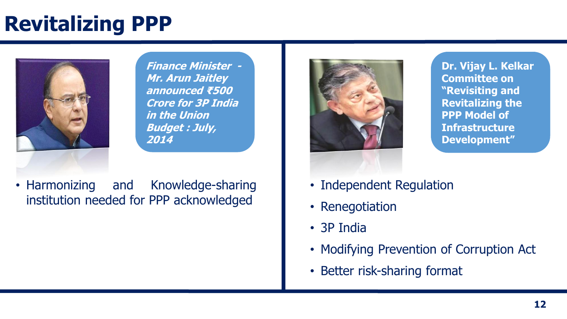# **Revitalizing PPP**



**Finance Minister - Mr. Arun Jaitley announced ₹500 Crore for 3P India in the Union Budget : July, 2014**

• Harmonizing and Knowledge-sharing institution needed for PPP acknowledged



**Dr. Vijay L. Kelkar Committee on "Revisiting and Revitalizing the PPP Model of Infrastructure Development"**

- Independent Regulation
- [Renegotiation](http://www.google.co.in/url?sa=i&rct=j&q=&esrc=s&source=images&cd=&cad=rja&uact=8&ved=0CAcQjRxqFQoTCKm5t7f8qsgCFcUYjgod6xYCXQ&url=http://www.bhau.org/dr-vijay-kelkar/&psig=AFQjCNGY0NRu0IPk1EtU1txqRO_I6g3YhA&ust=1444122110580210)
- 3P India
- Modifying Prevention of Corruption Act
- Better risk-sharing format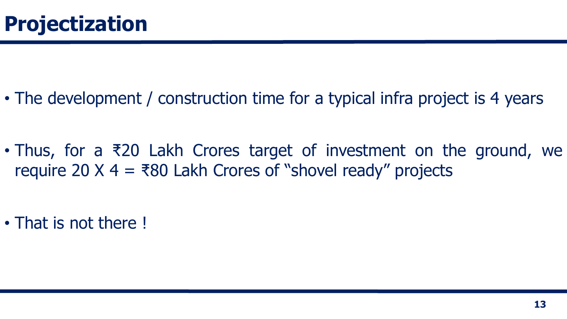• The development / construction time for a typical infra project is 4 years

• Thus, for a ₹20 Lakh Crores target of investment on the ground, we require 20  $X$  4 = ₹80 Lakh Crores of "shovel ready" projects

• That is not there !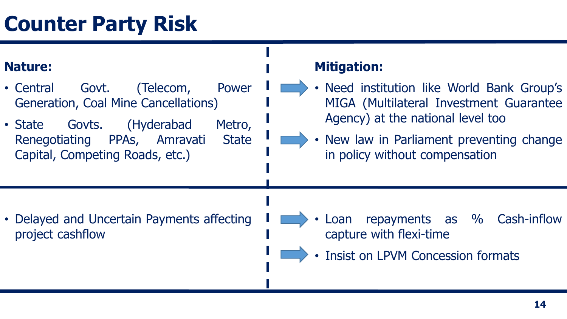## **Counter Party Risk**

### **Nature:**

- Central Govt. (Telecom, Power Generation, Coal Mine Cancellations)
- State Govts. (Hyderabad Metro, Renegotiating PPAs, Amravati State Capital, Competing Roads, etc.)

### **Mitigation:**

- Need institution like World Bank Group's MIGA (Multilateral Investment Guarantee Agency) at the national level too
- New law in Parliament preventing change in policy without compensation

• Delayed and Uncertain Payments affecting project cashflow

- Loan repayments as % Cash-inflow capture with flexi-time
- Insist on LPVM Concession formats